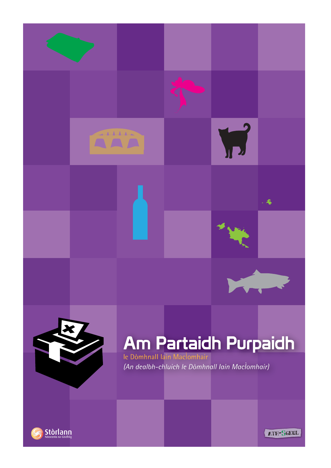



 $-4$ 



# Am Partaidh Purpaidh

(An dealbh-chluich le Dòmhnall Iain Maclomhair)



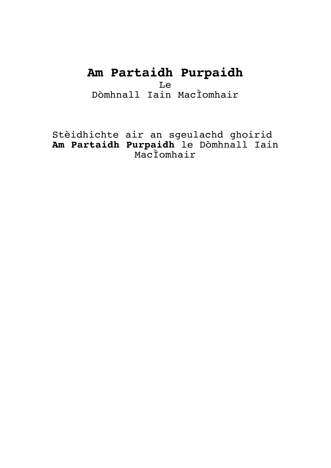# **Am Partaidh Purpaidh**

Le

Dòmhnall Iain MacÌomhair

Stèidhichte air an sgeulachd ghoirid **Am Partaidh Purpaidh** le Dòmhnall Iain MacÌomhair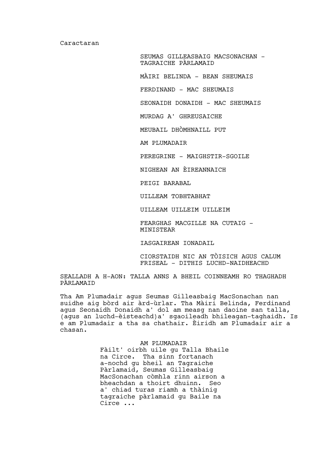Caractaran

SEUMAS GILLEASBAIG MACSONACHAN - TAGRAICHE PÀRLAMAID

MÀIRI BELINDA – BEAN SHEUMAIS

FERDINAND - MAC SHEUMAIS

SEONAIDH DONAIDH - MAC SHEUMAIS

MURDAG A' GHREUSAICHE

MEUBAIL DHÒMHNAILL PUT

AM PLUMADAIR

PEREGRINE – MAIGHSTIR-SGOILE

NIGHEAN AN ÈIREANNAICH

PEIGI BARABAL

UILLEAM TOBHTABHAT

UILLEAM UILLEIM UILLEIM

FEARGHAS MACGILLE NA CUTAIG – MINISTEAR

IASGAIREAN IONADAIL

CIORSTAIDH NIC AN TÒISICH AGUS CALUM FRISEAL - DITHIS LUCHD-NAIDHEACHD

SEALLADH A H-AON: TALLA ANNS A BHEIL COINNEAMH RO THAGHADH PÀRLAMAID

Tha Am Plumadair agus Seumas Gilleasbaig MacSonachan nan suidhe aig bòrd air àrd-ùrlar. Tha Màiri Belinda, Ferdinand agus Seonaidh Donaidh a' dol am measg nan daoine san talla, (agus an luchd-èisteachd)a' sgaoileadh bhileagan-taghaidh. Is e am Plumadair a tha sa chathair. Èiridh am Plumadair air a chasan.

> AM PLUMADAIR Fàilt' oirbh uile gu Talla Bhaile na Circe. Tha sinn fortanach a-nochd gu bheil an Tagraiche Pàrlamaid, Seumas Gilleasbaig MacSonachan còmhla rinn airson a bheachdan a thoirt dhuinn. Seo a' chiad turas riamh a thàinig tagraiche pàrlamaid gu Baile na Circe ...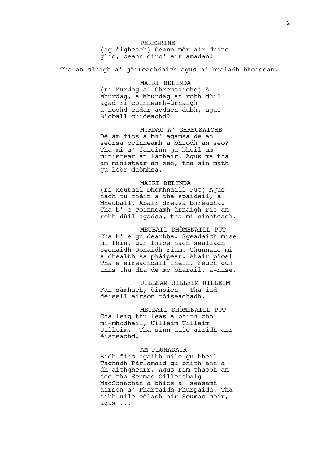PEREGRINE (ag èigheach) Ceann mòr air duine glic, ceann circ' air amadan!

Tha an sluagh a' gàireachdaich agus a' bualadh bhoisean.

# MÀIRI BELINDA

(ri Murdag a' Ghreusaiche) A Mhurdag, a Mhurdag an robh dùil agad ri coinneamh-ùrnaigh a-nochd eadar aodach dubh, agus Bìoball cuideachd?

MURDAG A' GHREUSAICHE Dè am fios a bh' agamsa dè an seòrsa coinneamh a bhiodh an seo? Tha mi a' faicinn gu bheil am ministear an làthair. Agus ma tha am ministear an seo, tha sin math gu leòr dhòmhsa.

#### MÀIRI BELINDA

(ri Meubail Dhòmhnaill Put) Agus nach tu fhèin a tha spaideil, a Mheubail. Abair dreasa bhrèagha. Cha b' e coinneamh-ùrnaigh ris an robh dùil agadsa, tha mi cinnteach.

MEUBAIL DHÒMHNAILL PUT Cha b' e gu dearbha. Sgeadaich mise mi fhìn, gun fhios nach sealladh Seonaidh Donaidh rium. Chunnaic mi a dhealbh sa phàipear. Abair pìos! Tha e eireachdail fhèin. Feuch gun inns thu dha dè mo bharail, a-nise.

UILLEAM UILLEIM UILLEIM Fan sàmhach, òinsich. Tha iad deiseil airson tòiseachadh.

MEUBAIL DHÒMHNAILL PUT Cha leig thu leas a bhith cho mì-mhodhail, Uilleim Uilleim Uilleim. Tha sinn uile airidh air

#### AM PLUMADAIR

èisteachd.

Bidh fios agaibh uile gu bheil Taghadh Pàrlamaid gu bhith ann a dh'aithghearr. Agus rim thaobh an seo tha Seumas Gilleasbaig MacSonachan a bhios a' seasamh airson a' Phartaidh Phurpaidh. Tha sibh uile eòlach air Seumas còir, agus ...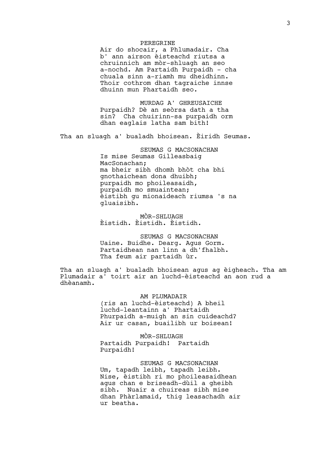# PEREGRINE

Air do shocair, a Phlumadair. Cha b' ann airson èisteachd riutsa a chruinnich am mòr-shluagh an seo a-nochd. Am Partaidh Purpaidh – cha chuala sinn a-riamh mu dheidhinn. Thoir cothrom dhan tagraiche innse dhuinn mun Phartaidh seo.

MURDAG A' GHREUSAICHE Purpaidh? Dè an seòrsa dath a tha sin? Cha chuirinn-sa purpaidh orm dhan eaglais latha sam bith!

Tha an sluagh a' bualadh bhoisean. Èiridh Seumas.

SEUMAS G MACSONACHAN Is mise Seumas Gilleasbaig MacSonachan; ma bheir sibh dhomh bhòt cha bhi gnothaichean dona dhuibh; purpaidh mo phoileasaidh, purpaidh mo smuaintean; èistibh gu mionaideach riumsa 's na gluaisibh.

MÒR-SHLUAGH Èistidh. Èistidh. Èistidh.

SEUMAS G MACSONACHAN Uaine. Buidhe. Dearg. Agus Gorm. Partaidhean nan linn a dh'fhalbh. Tha feum air partaidh ùr.

Tha an sluagh a' bualadh bhoisean agus ag èigheach. Tha am Plumadair a' toirt air an luchd-èisteachd an aon rud a dhèanamh.

> AM PLUMADAIR (ris an luchd-èisteachd) A bheil luchd-leantainn a' Phartaidh Phurpaidh a-muigh an sin cuideachd? Air ur casan, buailibh ur boisean!

MÒR-SHLUAGH Partaidh Purpaidh! Partaidh Purpaidh!

SEUMAS G MACSONACHAN Um, tapadh leibh, tapadh leibh. Nise, èistibh ri mo phoileasaidhean agus chan e briseadh-dùil a gheibh sibh. Nuair a chuireas sibh mise dhan Phàrlamaid, thig leasachadh air ur beatha.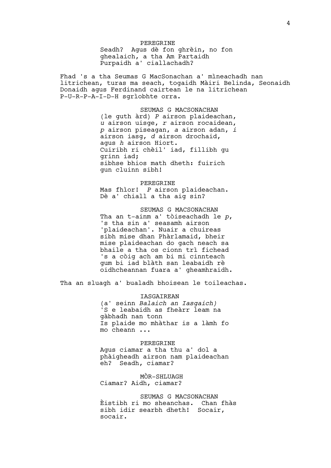PEREGRINE Seadh? Agus dè fon ghrèin, no fon ghealaich, a tha Am Partaidh Purpaidh a' ciallachadh?

Fhad 's a tha Seumas G MacSonachan a' mìneachadh nan litrichean, turas ma seach, togaidh Màiri Belinda, Seonaidh Donaidh agus Ferdinand cairtean le na litrichean P-U-R-P-A-I-D-H sgrìobhte orra.

> SEUMAS G MACSONACHAN (le guth àrd) *P* airson plaideachan, *u* airson uisge, *r* airson rocaidean, *p* airson piseagan, *a* airson adan, *i* airson iasg, *d* airson drochaid, agus *h* airson Hiort. Cuiribh ri chèil' iad, fillibh gu grinn iad; sibhse bhios math dheth: fuirich gun cluinn sibh!

PEREGRINE Mas fhìor! *P* airson plaideachan. Dè a' chiall a tha aig sin?

SEUMAS G MACSONACHAN Tha an t-ainm a' tòiseachadh le *p*, 's tha sin a' seasamh airson 'plaideachan'. Nuair a chuireas sibh mise dhan Phàrlamaid, bheir mise plaideachan do gach neach sa bhaile a tha os cionn trì fichead 's a còig ach am bi mi cinnteach gum bi iad blàth san leabaidh rè oidhcheannan fuara a' gheamhraidh.

Tha an sluagh a' bualadh bhoisean le toileachas.

IASGAIREAN (a' seinn *Balaich an Iasgaich)* 'S e leabaidh as fheàrr leam na gàbhadh nan tonn Is plaide mo mhàthar is a làmh fo mo cheann ...

PEREGRINE Agus ciamar a tha thu a' dol a phàigheadh airson nam plaideachan eh? Seadh, ciamar?

MÒR-SHLUAGH Ciamar? Aidh, ciamar?

SEUMAS G MACSONACHAN Èistibh ri mo sheanchas. Chan fhàs sibh idir searbh dheth! Socair, socair.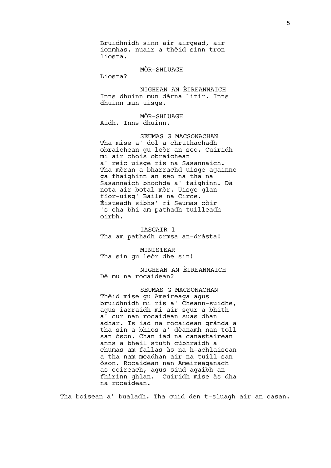Bruidhnidh sinn air airgead, air ionmhas, nuair a thèid sinn tron liosta.

MÒR-SHLUAGH

Liosta?

NIGHEAN AN ÈIREANNAICH Inns dhuinn mun dàrna litir. Inns dhuinn mun uisge.

MÒR-SHLUAGH Aidh. Inns dhuinn.

SEUMAS G MACSONACHAN Tha mise a' dol a chruthachadh obraichean gu leòr an seo. Cuiridh mi air chois obraichean a' reic uisge ris na Sasannaich. Tha mòran a bharrachd uisge againne ga fhaighinn an seo na tha na Sasannaich bhochda a' faighinn. Dà nota air botal mòr. Uisge glan – fìor-uisg' Baile na Circe. Èisteadh sibhs' ri Seumas còir 's cha bhi am pathadh tuilleadh oirbh.

IASGAIR 1 Tha am pathadh ormsa an-dràsta!

MINISTEAR Tha sin gu leòr dhe sin!

NIGHEAN AN ÈIREANNAICH Dè mu na rocaidean?

SEUMAS G MACSONACHAN Thèid mise gu Ameireaga agus bruidhnidh mi ris a' Cheann-suidhe, agus iarraidh mi air sgur a bhith a' cur nan rocaidean suas dhan adhar. Is iad na rocaidean grànda a tha sin a bhios a' dèanamh nan toll san òson. Chan iad na canastairean anns a bheil stuth cùbhraidh a chumas am fallas às na h-achlaisean a tha nam meadhan air na tuill san òson. Rocaidean nan Ameireaganach as coireach, agus siud agaibh an fhìrinn ghlan. Cuiridh mise às dha na rocaidean.

Tha boisean a' bualadh. Tha cuid den t-sluagh air an casan.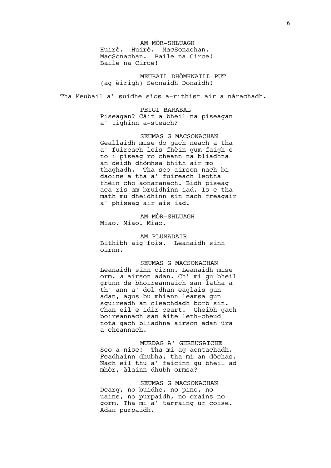AM MÒR-SHLUAGH Huirè. Huirè. MacSonachan. MacSonachan. Baile na Circe! Baile na Circe!

MEUBAIL DHÒMHNAILL PUT (ag èirigh) Seonaidh Donaidh!

Tha Meubail a' suidhe sìos a-rithist air a nàrachadh.

PEIGI BARABAL Piseagan? Càit a bheil na piseagan a' tighinn a-steach?

SEUMAS G MACSONACHAN Geallaidh mise do gach neach a tha a' fuireach leis fhèin gum faigh e no i piseag ro cheann na bliadhna an dèidh dhòmhsa bhith air mo thaghadh. Tha seo airson nach bi daoine a tha a' fuireach leotha fhèin cho aonaranach. Bidh piseag aca ris am bruidhinn iad. Is e tha math mu dheidhinn sin nach freagair a' phiseag air ais iad.

AM MÒR-SHLUAGH Miao. Miao. Miao.

AM PLUMADAIR Bithibh aig fois. Leanaidh sinn oirnn.

SEUMAS G MACSONACHAN Leanaidh sinn oirnn. Leanaidh mise orm. *a* airson adan. Chì mi gu bheil grunn de bhoireannaich san latha a th' ann a' dol dhan eaglais gun adan, agus bu mhiann leamsa gun sguireadh an cleachdadh borb sin. Chan eil e idir ceart. Gheibh gach boireannach san àite leth-cheud nota gach bliadhna airson adan ùra a cheannach.

MURDAG A' GHREUSAICHE Seo a-nise! Tha mi ag aontachadh. Feadhainn dhubha, tha mi an dòchas. Nach eil thu a' faicinn gu bheil ad mhòr, àlainn dhubh ormsa?

SEUMAS G MACSONACHAN Dearg, no buidhe, no pinc, no uaine, no purpaidh, no orains no gorm. Tha mi a' tarraing ur coise. Adan purpaidh.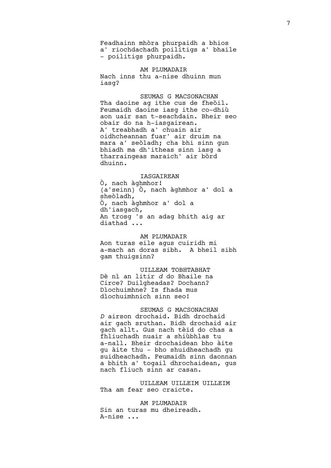Feadhainn mhòra phurpaidh a bhios a' riochdachadh poilitigs a' bhaile – poilitigs phurpaidh.

AM PLUMADAIR Nach inns thu a-nise dhuinn mun iasg?

SEUMAS G MACSONACHAN Tha daoine ag ithe cus de fheòil. Feumaidh daoine iasg ithe co-dhiù aon uair san t-seachdain. Bheir seo obair do na h-iasgairean. A' treabhadh a' chuain air oidhcheannan fuar' air druim na mara a' seòladh; cha bhi sinn gun bhiadh ma dh'itheas sinn iasg a tharraingeas maraich' air bòrd dhuinn.

# IASGAIREAN

Ò, nach àghmhor! (a'seinn) Ò, nach àghmhor a' dol a sheòladh, Ò, nach àghmhor a' dol a dh'iasgach, An trosg 's an adag bhith aig ar diathad ...

## AM PLUMADAIR

Aon turas eile agus cuiridh mi a-mach an doras sibh. A bheil sibh gam thuigsinn?

UILLEAM TOBHTABHAT Dè nì an litir *d* do Bhaile na Circe? Duilgheadas? Dochann? Dìochuimhne? Is fhada mus dìochuimhnich sinn seo!

SEUMAS G MACSONACHAN *D* airson drochaid. Bidh drochaid air gach sruthan. Bidh drochaid air gach allt. Gus nach tèid do chas a fhliuchadh nuair a shiùbhlas tu a-nall. Bheir drochaidean bho àite gu àite thu – bho shuidheachadh gu suidheachadh. Feumaidh sinn daonnan a bhith a' togail dhrochaidean, gus nach fliuch sinn ar casan.

UILLEAM UILLEIM UILLEIM Tha am fear seo craicte.

AM PLUMADAIR Sin an turas mu dheireadh. A-nise ...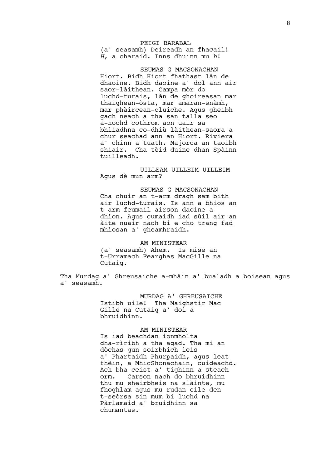# PEIGI BARABAL (a' seasamh) Deireadh an fhacail! *H*, a charaid. Inns dhuinn mu *h*!

SEUMAS G MACSONACHAN Hiort. Bidh Hiort fhathast làn de dhaoine. Bidh daoine a' dol ann air saor-làithean. Campa mòr do luchd-turais, làn de ghoireasan mar thaighean-òsta, mar amaran-snàmh, mar phàircean-cluiche. Agus gheibh gach neach a tha san talla seo a-nochd cothrom aon uair sa bhliadhna co-dhiù làithean-saora a chur seachad ann an Hiort. Riviera a' chinn a tuath. Majorca an taoibh shiair. Cha tèid duine dhan Spàinn tuilleadh.

# UILLEAM UILLEIM UILLEIM Agus dè mun arm?

SEUMAS G MACSONACHAN Cha chuir an t-arm dragh sam bith air luchd-turais. Is ann a bhios an t-arm feumail airson daoine a dhìon. Agus cumaidh iad sùil air an àite nuair nach bi e cho trang fad mhìosan a' gheamhraidh.

#### AM MINISTEAR

(a' seasamh) Ahem. Is mise an t-Urramach Fearghas MacGille na Cutaig.

Tha Murdag a' Ghreusaiche a-mhàin a' bualadh a boisean agus a' seasamh.

> MURDAG A' GHREUSAICHE Istibh uile! Tha Maighstir Mac Gille na Cutaig a' dol a bhruidhinn.

#### AM MINISTEAR

Is iad beachdan ionmholta dha-rìribh a tha agad. Tha mi an dòchas gun soirbhich leis a' Phartaidh Phurpaidh, agus leat fhèin, a MhicShonachain, cuideachd. Ach bha ceist a' tighinn a-steach orm. Carson nach do bhruidhinn thu mu sheirbheis na slàinte, mu fhoghlam agus mu rudan eile den t-seòrsa sin mum bi luchd na Pàrlamaid a' bruidhinn sa chumantas.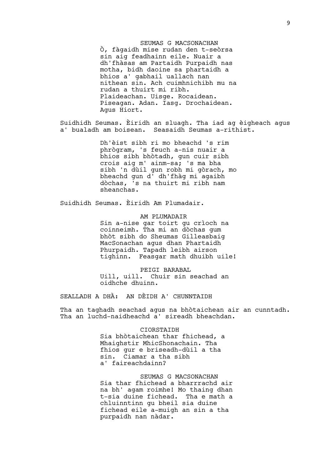SEUMAS G MACSONACHAN Ò, fàgaidh mise rudan den t-seòrsa sin aig feadhainn eile. Nuair a dh'fhàsas am Partaidh Purpaidh nas motha, bidh daoine sa phartaidh a bhios a' gabhail uallach nan nithean sin. Ach cuimhnichibh mu na rudan a thuirt mi ribh. Plaideachan. Uisge. Rocaidean. Piseagan. Adan. Iasg. Drochaidean. Agus Hiort.

Suidhidh Seumas. Èiridh an sluagh. Tha iad ag èigheach agus a' bualadh am boisean. Seasaidh Seumas a-rithist.

> Dh'èist sibh ri mo bheachd 's rim phrògram, 's feuch a-nis nuair a bhios sibh bhòtadh, gun cuir sibh crois aig m' ainm-sa; 's ma bha sibh 'n dùil gun robh mi gòrach, mo bheachd gun d' dh'fhàg mi agaibh dòchas, 's na thuirt mi ribh nam sheanchas.

Suidhidh Seumas. Èiridh Am Plumadair.

AM PLUMADAIR Sin a-nise gar toirt gu crìoch na coinneimh. Tha mi an dòchas gum bhòt sibh do Sheumas Gilleasbaig MacSonachan agus dhan Phartaidh Phurpaidh. Tapadh leibh airson tighinn. Feasgar math dhuibh uile!

PEIGI BARABAL Uill, uill. Chuir sin seachad an oidhche dhuinn.

SEALLADH A DHÀ: AN DÈIDH A' CHUNNTAIDH

Tha an taghadh seachad agus na bhòtaichean air an cunntadh. Tha an luchd-naidheachd a' sireadh bheachdan.

> CIORSTAIDH Sia bhòtaichean thar fhichead, a Mhaighstir MhicShonachain. Tha fhios gur e briseadh-dùil a tha sin. Ciamar a tha sibh a' faireachdainn?

SEUMAS G MACSONACHAN Sia thar fhichead a bharrrachd air na bh' agam roimhe! Mo thaing dhan t-sia duine fichead. Tha e math a chluinntinn gu bheil sia duine fichead eile a-muigh an sin a tha purpaidh nan nàdar.